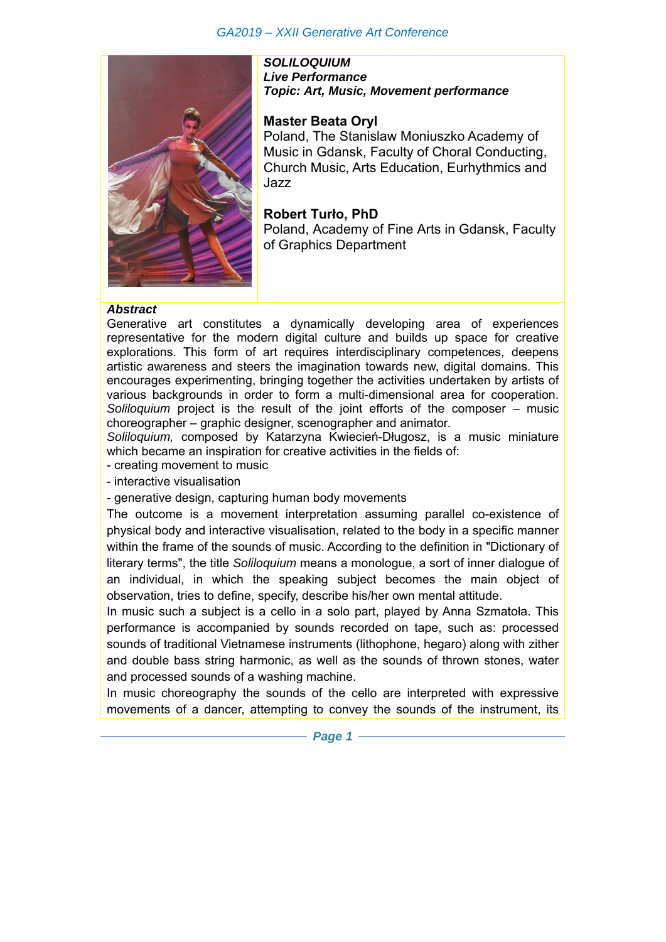## *GA2019 – XXII Generative Art Conference*



*SOLILOQUIUM Live Performance Topic: Art, Music, Movement performance*

## **Master Beata Oryl**

Poland, The Stanislaw Moniuszko Academy of Music in Gdansk, Faculty of Choral Conducting, Church Music, Arts Education, Eurhythmics and Jazz

**Robert Turło, PhD**  Poland, Academy of Fine Arts in Gdansk, Faculty of Graphics Department

#### *Abstract*

Generative art constitutes a dynamically developing area of experiences representative for the modern digital culture and builds up space for creative explorations. This form of art requires interdisciplinary competences, deepens artistic awareness and steers the imagination towards new, digital domains. This encourages experimenting, bringing together the activities undertaken by artists of various backgrounds in order to form a multi-dimensional area for cooperation. *Soliloquium* project is the result of the joint efforts of the composer – music choreographer – graphic designer, scenographer and animator*.* 

*Soliloquium,* composed by Katarzyna Kwiecień-Długosz, is a music miniature which became an inspiration for creative activities in the fields of:

- creating movement to music
- interactive visualisation

- generative design, capturing human body movements

The outcome is a movement interpretation assuming parallel co-existence of physical body and interactive visualisation, related to the body in a specific manner within the frame of the sounds of music. According to the definition in "Dictionary of literary terms", the title *Soliloquium* means a monologue, a sort of inner dialogue of an individual, in which the speaking subject becomes the main object of observation, tries to define, specify, describe his/her own mental attitude.

In music such a subject is a cello in a solo part, played by Anna Szmatoła. This performance is accompanied by sounds recorded on tape, such as: processed sounds of traditional Vietnamese instruments (lithophone, hegaro) along with zither and double bass string harmonic, as well as the sounds of thrown stones, water and processed sounds of a washing machine.

In music choreography the sounds of the cello are interpreted with expressive movements of a dancer, attempting to convey the sounds of the instrument, its

*Page 1* $-$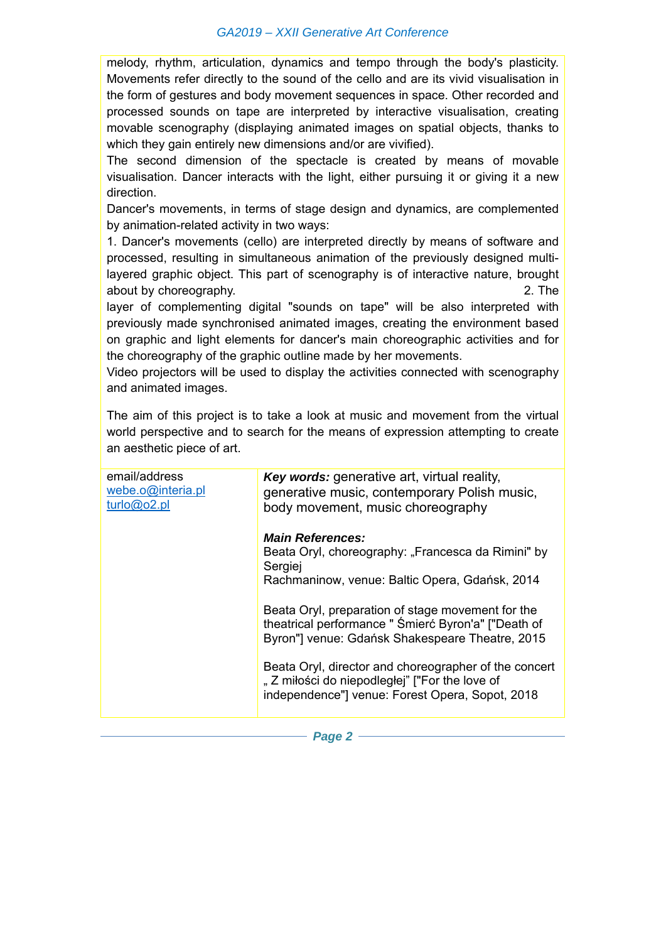#### *GA2019 – XXII Generative Art Conference*

melody, rhythm, articulation, dynamics and tempo through the body's plasticity. Movements refer directly to the sound of the cello and are its vivid visualisation in the form of gestures and body movement sequences in space. Other recorded and processed sounds on tape are interpreted by interactive visualisation, creating movable scenography (displaying animated images on spatial objects, thanks to which they gain entirely new dimensions and/or are vivified).

The second dimension of the spectacle is created by means of movable visualisation. Dancer interacts with the light, either pursuing it or giving it a new direction.

Dancer's movements, in terms of stage design and dynamics, are complemented by animation-related activity in two ways:

1. Dancer's movements (cello) are interpreted directly by means of software and processed, resulting in simultaneous animation of the previously designed multilayered graphic object. This part of scenography is of interactive nature, brought about by choreography. **2.** The

layer of complementing digital "sounds on tape" will be also interpreted with previously made synchronised animated images, creating the environment based on graphic and light elements for dancer's main choreographic activities and for the choreography of the graphic outline made by her movements.

Video projectors will be used to display the activities connected with scenography and animated images.

The aim of this project is to take a look at music and movement from the virtual world perspective and to search for the means of expression attempting to create an aesthetic piece of art.

| email/address<br>webe.o@interia.pl<br>turb@o2.pl | <b>Key words:</b> generative art, virtual reality,<br>generative music, contemporary Polish music,<br>body movement, music choreography                     |
|--------------------------------------------------|-------------------------------------------------------------------------------------------------------------------------------------------------------------|
|                                                  | <b>Main References:</b><br>Beata Oryl, choreography: "Francesca da Rimini" by<br>Sergiej<br>Rachmaninow, venue: Baltic Opera, Gdańsk, 2014                  |
|                                                  | Beata Oryl, preparation of stage movement for the<br>theatrical performance " Śmierć Byron'a" ["Death of<br>Byron"] venue: Gdańsk Shakespeare Theatre, 2015 |
|                                                  | Beata Oryl, director and choreographer of the concert<br>"Z miłości do niepodległej" ["For the love of<br>independence"] venue: Forest Opera, Sopot, 2018   |
|                                                  |                                                                                                                                                             |

*Page 2* –